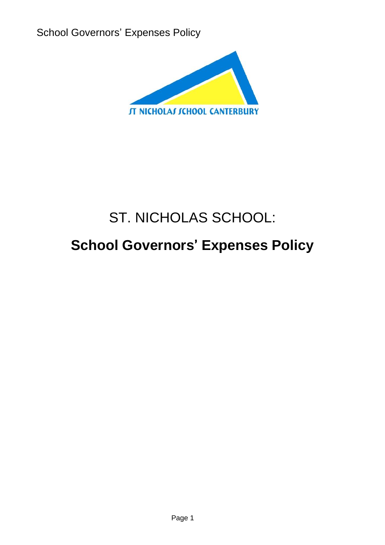

# ST. NICHOLAS SCHOOL: **School Governors**' **Expenses Policy**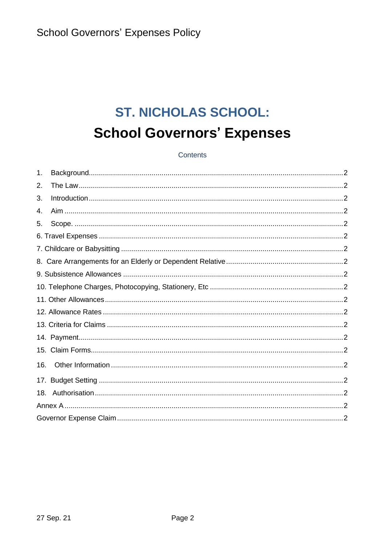## **ST. NICHOLAS SCHOOL: School Governors' Expenses**

### Contents

| 1.  |  |
|-----|--|
| 2.  |  |
| 3.  |  |
| 4.  |  |
| 5.  |  |
|     |  |
|     |  |
|     |  |
|     |  |
|     |  |
|     |  |
|     |  |
|     |  |
|     |  |
|     |  |
| 16. |  |
|     |  |
|     |  |
|     |  |
|     |  |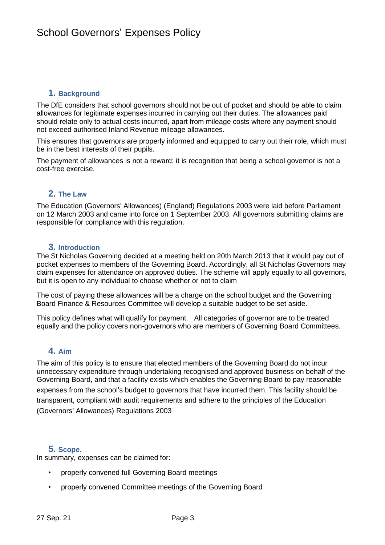### **1. Background**

The DfE considers that school governors should not be out of pocket and should be able to claim allowances for legitimate expenses incurred in carrying out their duties. The allowances paid should relate only to actual costs incurred, apart from mileage costs where any payment should not exceed authorised Inland Revenue mileage allowances.

This ensures that governors are properly informed and equipped to carry out their role, which must be in the best interests of their pupils.

The payment of allowances is not a reward; it is recognition that being a school governor is not a cost-free exercise.

### **2. The Law**

The Education (Governors' Allowances) (England) Regulations 2003 were laid before Parliament on 12 March 2003 and came into force on 1 September 2003. All governors submitting claims are responsible for compliance with this regulation.

#### **3. Introduction**

The St Nicholas Governing decided at a meeting held on 20th March 2013 that it would pay out of pocket expenses to members of the Governing Board. Accordingly, all St Nicholas Governors may claim expenses for attendance on approved duties. The scheme will apply equally to all governors, but it is open to any individual to choose whether or not to claim

The cost of paying these allowances will be a charge on the school budget and the Governing Board Finance & Resources Committee will develop a suitable budget to be set aside.

This policy defines what will qualify for payment. All categories of governor are to be treated equally and the policy covers non-governors who are members of Governing Board Committees.

### **4. Aim**

The aim of this policy is to ensure that elected members of the Governing Board do not incur unnecessary expenditure through undertaking recognised and approved business on behalf of the Governing Board, and that a facility exists which enables the Governing Board to pay reasonable expenses from the school's budget to governors that have incurred them. This facility should be transparent, compliant with audit requirements and adhere to the principles of the Education (Governors' Allowances) Regulations 2003

### **5. Scope.**

In summary, expenses can be claimed for:

- properly convened full Governing Board meetings
- properly convened Committee meetings of the Governing Board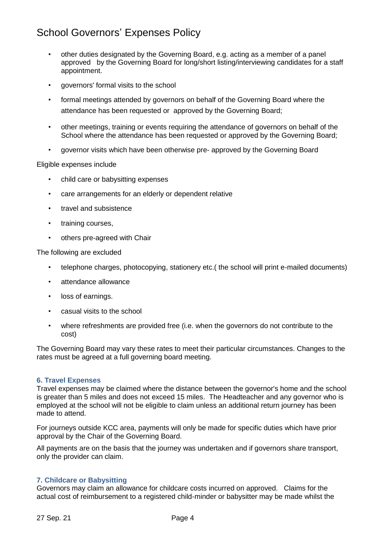- other duties designated by the Governing Board, e.g. acting as a member of a panel approved by the Governing Board for long/short listing/interviewing candidates for a staff appointment.
- governors' formal visits to the school
- formal meetings attended by governors on behalf of the Governing Board where the attendance has been requested or approved by the Governing Board;
- other meetings, training or events requiring the attendance of governors on behalf of the School where the attendance has been requested or approved by the Governing Board;
- governor visits which have been otherwise pre- approved by the Governing Board

#### Eligible expenses include

- child care or babysitting expenses
- care arrangements for an elderly or dependent relative
- travel and subsistence
- training courses,
- others pre-agreed with Chair

The following are excluded

- telephone charges, photocopying, stationery etc.( the school will print e-mailed documents)
- attendance allowance
- loss of earnings.
- casual visits to the school
- where refreshments are provided free (i.e. when the governors do not contribute to the cost)

The Governing Board may vary these rates to meet their particular circumstances. Changes to the rates must be agreed at a full governing board meeting.

#### **6. Travel Expenses**

Travel expenses may be claimed where the distance between the governor's home and the school is greater than 5 miles and does not exceed 15 miles. The Headteacher and any governor who is employed at the school will not be eligible to claim unless an additional return journey has been made to attend.

For journeys outside KCC area, payments will only be made for specific duties which have prior approval by the Chair of the Governing Board.

All payments are on the basis that the journey was undertaken and if governors share transport, only the provider can claim.

#### **7. Childcare or Babysitting**

Governors may claim an allowance for childcare costs incurred on approved. Claims for the actual cost of reimbursement to a registered child-minder or babysitter may be made whilst the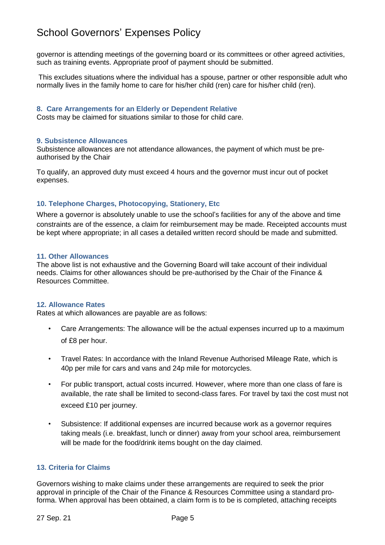governor is attending meetings of the governing board or its committees or other agreed activities, such as training events. Appropriate proof of payment should be submitted.

This excludes situations where the individual has a spouse, partner or other responsible adult who normally lives in the family home to care for his/her child (ren) care for his/her child (ren).

#### **8. Care Arrangements for an Elderly or Dependent Relative**

Costs may be claimed for situations similar to those for child care.

#### **9. Subsistence Allowances**

Subsistence allowances are not attendance allowances, the payment of which must be preauthorised by the Chair

To qualify, an approved duty must exceed 4 hours and the governor must incur out of pocket expenses.

### **10. Telephone Charges, Photocopying, Stationery, Etc**

Where a governor is absolutely unable to use the school's facilities for any of the above and time constraints are of the essence, a claim for reimbursement may be made. Receipted accounts must be kept where appropriate; in all cases a detailed written record should be made and submitted.

#### **11. Other Allowances**

The above list is not exhaustive and the Governing Board will take account of their individual needs. Claims for other allowances should be pre-authorised by the Chair of the Finance & Resources Committee.

### **12. Allowance Rates**

Rates at which allowances are payable are as follows:

- Care Arrangements: The allowance will be the actual expenses incurred up to a maximum of £8 per hour.
- Travel Rates: In accordance with the Inland Revenue Authorised Mileage Rate, which is 40p per mile for cars and vans and 24p mile for motorcycles.
- For public transport, actual costs incurred. However, where more than one class of fare is available, the rate shall be limited to second-class fares. For travel by taxi the cost must not exceed £10 per journey.
- Subsistence: If additional expenses are incurred because work as a governor requires taking meals (i.e. breakfast, lunch or dinner) away from your school area, reimbursement will be made for the food/drink items bought on the day claimed.

### **13. Criteria for Claims**

Governors wishing to make claims under these arrangements are required to seek the prior approval in principle of the Chair of the Finance & Resources Committee using a standard proforma. When approval has been obtained, a claim form is to be is completed, attaching receipts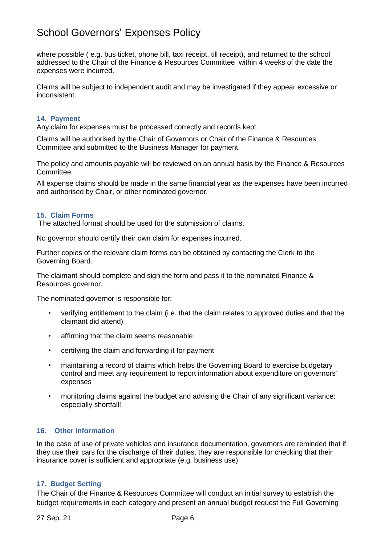where possible ( e.g. bus ticket, phone bill, taxi receipt, till receipt), and returned to the school addressed to the Chair of the Finance & Resources Committee within 4 weeks of the date the expenses were incurred.

Claims will be subject to independent audit and may be investigated if they appear excessive or inconsistent.

### **14. Payment**

Any claim for expenses must be processed correctly and records kept.

Claims will be authorised by the Chair of Governors or Chair of the Finance & Resources Committee and submitted to the Business Manager for payment.

The policy and amounts payable will be reviewed on an annual basis by the Finance & Resources Committee.

All expense claims should be made in the same financial year as the expenses have been incurred and authorised by Chair, or other nominated governor.

### **15. Claim Forms**

The attached format should be used for the submission of claims.

No governor should certify their own claim for expenses incurred.

Further copies of the relevant claim forms can be obtained by contacting the Clerk to the Governing Board.

The claimant should complete and sign the form and pass it to the nominated Finance & Resources governor.

The nominated governor is responsible for:

- verifying entitlement to the claim (i.e. that the claim relates to approved duties and that the claimant did attend)
- affirming that the claim seems reasonable
- certifying the claim and forwarding it for payment
- maintaining a record of claims which helps the Governing Board to exercise budgetary control and meet any requirement to report information about expenditure on governors' expenses
- monitoring claims against the budget and advising the Chair of any significant variance: especially shortfall!

### **16. Other Information**

In the case of use of private vehicles and insurance documentation, governors are reminded that if they use their cars for the discharge of their duties, they are responsible for checking that their insurance cover is sufficient and appropriate (e.g. business use).

### **17. Budget Setting**

The Chair of the Finance & Resources Committee will conduct an initial survey to establish the budget requirements in each category and present an annual budget request the Full Governing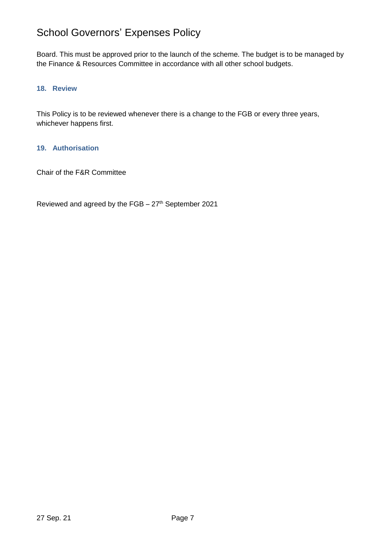Board. This must be approved prior to the launch of the scheme. The budget is to be managed by the Finance & Resources Committee in accordance with all other school budgets.

### **18. Review**

This Policy is to be reviewed whenever there is a change to the FGB or every three years, whichever happens first.

### **19. Authorisation**

Chair of the F&R Committee

Reviewed and agreed by the FGB - 27<sup>th</sup> September 2021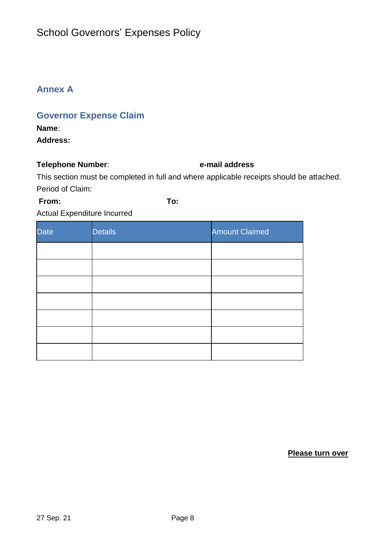### **Annex A**

### **Governor Expense Claim**

**Name**:

**Address:**

### **Telephone Number**: **e-mail address**

This section must be completed in full and where applicable receipts should be attached. Period of Claim:

### **From: To:**

### Actual Expenditure Incurred

| <b>Date</b> | <b>Details</b> | <b>Amount Claimed</b> |
|-------------|----------------|-----------------------|
|             |                |                       |
|             |                |                       |
|             |                |                       |
|             |                |                       |
|             |                |                       |
|             |                |                       |
|             |                |                       |

**Please turn over**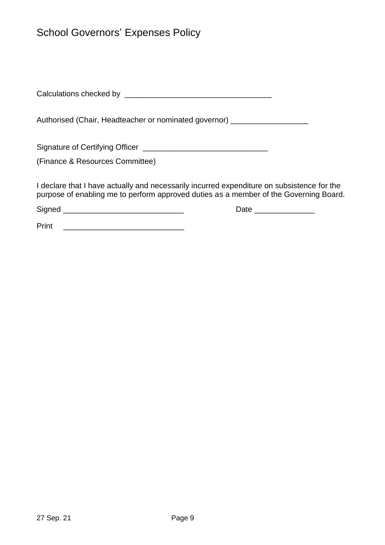Calculations checked by \_\_\_\_\_\_\_\_\_\_\_\_\_\_\_\_\_\_\_\_\_\_\_\_\_\_\_\_\_\_\_\_\_\_

Authorised (Chair, Headteacher or nominated governor) \_\_\_\_\_\_\_\_\_\_\_\_\_\_\_\_\_\_\_\_\_

| Signature of Certifying Officer |  |
|---------------------------------|--|
|---------------------------------|--|

(Finance & Resources Committee)

I declare that I have actually and necessarily incurred expenditure on subsistence for the purpose of enabling me to perform approved duties as a member of the Governing Board.

Signed \_\_\_\_\_\_\_\_\_\_\_\_\_\_\_\_\_\_\_\_\_\_\_\_\_\_\_\_ Date \_\_\_\_\_\_\_\_\_\_\_\_\_\_

Print \_\_\_\_\_\_\_\_\_\_\_\_\_\_\_\_\_\_\_\_\_\_\_\_\_\_\_\_